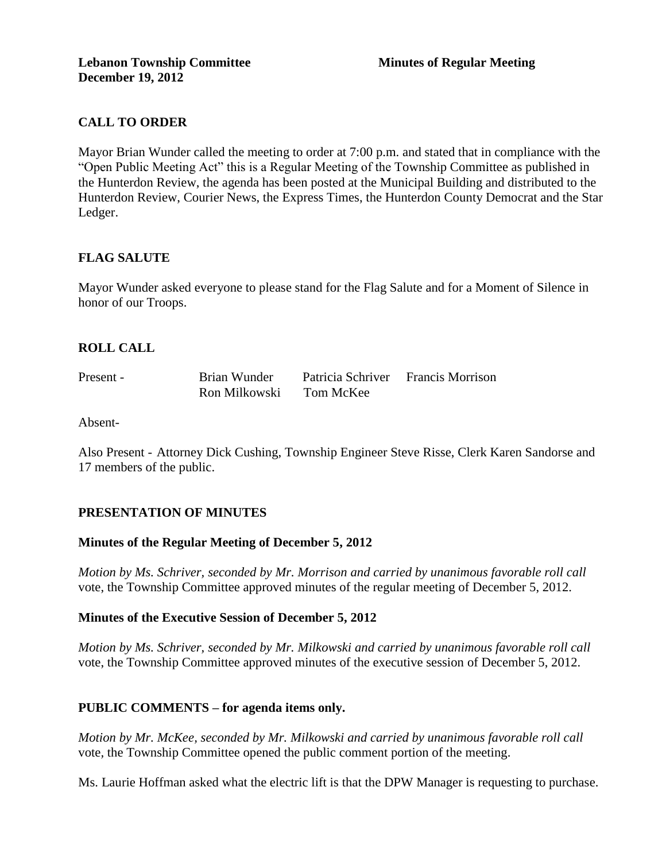# **CALL TO ORDER**

Mayor Brian Wunder called the meeting to order at 7:00 p.m. and stated that in compliance with the "Open Public Meeting Act" this is a Regular Meeting of the Township Committee as published in the Hunterdon Review, the agenda has been posted at the Municipal Building and distributed to the Hunterdon Review, Courier News, the Express Times, the Hunterdon County Democrat and the Star Ledger.

### **FLAG SALUTE**

Mayor Wunder asked everyone to please stand for the Flag Salute and for a Moment of Silence in honor of our Troops.

### **ROLL CALL**

| Present - | Brian Wunder  | Patricia Schriver Francis Morrison |  |
|-----------|---------------|------------------------------------|--|
|           | Ron Milkowski | Tom McKee                          |  |

Absent-

Also Present - Attorney Dick Cushing, Township Engineer Steve Risse, Clerk Karen Sandorse and 17 members of the public.

### **PRESENTATION OF MINUTES**

### **Minutes of the Regular Meeting of December 5, 2012**

*Motion by Ms. Schriver, seconded by Mr. Morrison and carried by unanimous favorable roll call*  vote, the Township Committee approved minutes of the regular meeting of December 5, 2012.

### **Minutes of the Executive Session of December 5, 2012**

*Motion by Ms. Schriver, seconded by Mr. Milkowski and carried by unanimous favorable roll call*  vote, the Township Committee approved minutes of the executive session of December 5, 2012.

### **PUBLIC COMMENTS – for agenda items only.**

*Motion by Mr. McKee, seconded by Mr. Milkowski and carried by unanimous favorable roll call*  vote*,* the Township Committee opened the public comment portion of the meeting.

Ms. Laurie Hoffman asked what the electric lift is that the DPW Manager is requesting to purchase.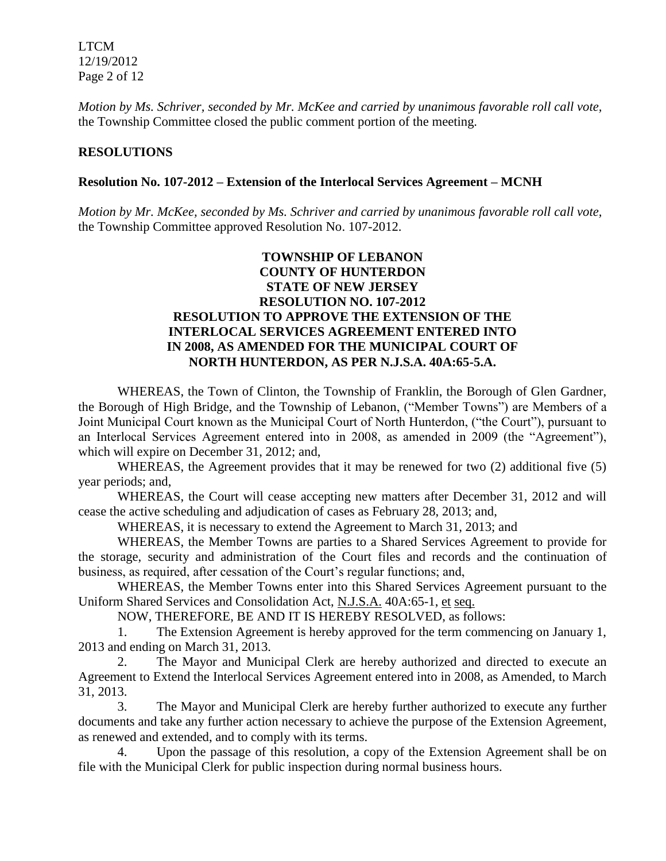LTCM 12/19/2012 Page 2 of 12

*Motion by Ms. Schriver, seconded by Mr. McKee and carried by unanimous favorable roll call vote,* the Township Committee closed the public comment portion of the meeting.

### **RESOLUTIONS**

### **Resolution No. 107-2012 – Extension of the Interlocal Services Agreement – MCNH**

*Motion by Mr. McKee, seconded by Ms. Schriver and carried by unanimous favorable roll call vote,* the Township Committee approved Resolution No. 107-2012.

## **TOWNSHIP OF LEBANON COUNTY OF HUNTERDON STATE OF NEW JERSEY RESOLUTION NO. 107-2012 RESOLUTION TO APPROVE THE EXTENSION OF THE INTERLOCAL SERVICES AGREEMENT ENTERED INTO IN 2008, AS AMENDED FOR THE MUNICIPAL COURT OF NORTH HUNTERDON, AS PER N.J.S.A. 40A:65-5.A.**

WHEREAS, the Town of Clinton, the Township of Franklin, the Borough of Glen Gardner, the Borough of High Bridge, and the Township of Lebanon, ("Member Towns") are Members of a Joint Municipal Court known as the Municipal Court of North Hunterdon, ("the Court"), pursuant to an Interlocal Services Agreement entered into in 2008, as amended in 2009 (the "Agreement"), which will expire on December 31, 2012; and,

WHEREAS, the Agreement provides that it may be renewed for two (2) additional five (5) year periods; and,

WHEREAS, the Court will cease accepting new matters after December 31, 2012 and will cease the active scheduling and adjudication of cases as February 28, 2013; and,

WHEREAS, it is necessary to extend the Agreement to March 31, 2013; and

WHEREAS, the Member Towns are parties to a Shared Services Agreement to provide for the storage, security and administration of the Court files and records and the continuation of business, as required, after cessation of the Court's regular functions; and,

WHEREAS, the Member Towns enter into this Shared Services Agreement pursuant to the Uniform Shared Services and Consolidation Act, N.J.S.A. 40A:65-1, et seq.

NOW, THEREFORE, BE AND IT IS HEREBY RESOLVED, as follows:

1. The Extension Agreement is hereby approved for the term commencing on January 1, 2013 and ending on March 31, 2013.

2. The Mayor and Municipal Clerk are hereby authorized and directed to execute an Agreement to Extend the Interlocal Services Agreement entered into in 2008, as Amended, to March 31, 2013.

3. The Mayor and Municipal Clerk are hereby further authorized to execute any further documents and take any further action necessary to achieve the purpose of the Extension Agreement, as renewed and extended, and to comply with its terms.

4. Upon the passage of this resolution, a copy of the Extension Agreement shall be on file with the Municipal Clerk for public inspection during normal business hours.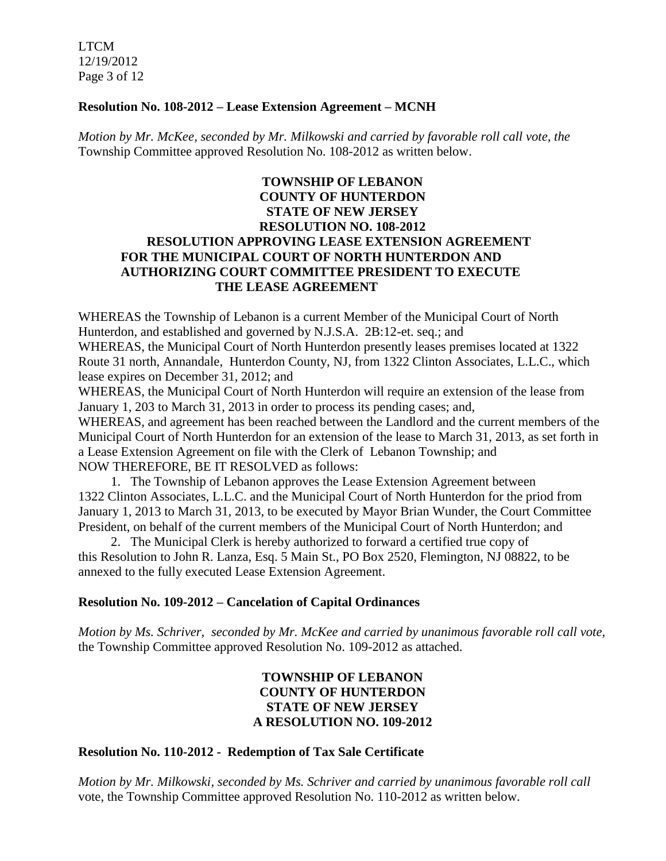LTCM 12/19/2012 Page 3 of 12

### **Resolution No. 108-2012 – Lease Extension Agreement – MCNH**

*Motion by Mr. McKee, seconded by Mr. Milkowski and carried by favorable roll call vote, the* Township Committee approved Resolution No. 108-2012 as written below.

## **TOWNSHIP OF LEBANON COUNTY OF HUNTERDON STATE OF NEW JERSEY RESOLUTION NO. 108-2012 RESOLUTION APPROVING LEASE EXTENSION AGREEMENT FOR THE MUNICIPAL COURT OF NORTH HUNTERDON AND AUTHORIZING COURT COMMITTEE PRESIDENT TO EXECUTE THE LEASE AGREEMENT**

WHEREAS the Township of Lebanon is a current Member of the Municipal Court of North Hunterdon, and established and governed by N.J.S.A. 2B:12-et. seq.; and

WHEREAS, the Municipal Court of North Hunterdon presently leases premises located at 1322 Route 31 north, Annandale, Hunterdon County, NJ, from 1322 Clinton Associates, L.L.C., which lease expires on December 31, 2012; and

WHEREAS, the Municipal Court of North Hunterdon will require an extension of the lease from January 1, 203 to March 31, 2013 in order to process its pending cases; and,

WHEREAS, and agreement has been reached between the Landlord and the current members of the Municipal Court of North Hunterdon for an extension of the lease to March 31, 2013, as set forth in a Lease Extension Agreement on file with the Clerk of Lebanon Township; and NOW THEREFORE, BE IT RESOLVED as follows:

1. The Township of Lebanon approves the Lease Extension Agreement between 1322 Clinton Associates, L.L.C. and the Municipal Court of North Hunterdon for the priod from January 1, 2013 to March 31, 2013, to be executed by Mayor Brian Wunder, the Court Committee President, on behalf of the current members of the Municipal Court of North Hunterdon; and

2. The Municipal Clerk is hereby authorized to forward a certified true copy of this Resolution to John R. Lanza, Esq. 5 Main St., PO Box 2520, Flemington, NJ 08822, to be annexed to the fully executed Lease Extension Agreement.

### **Resolution No. 109-2012 – Cancelation of Capital Ordinances**

*Motion by Ms. Schriver, seconded by Mr. McKee and carried by unanimous favorable roll call vote,* the Township Committee approved Resolution No. 109-2012 as attached.

## **TOWNSHIP OF LEBANON COUNTY OF HUNTERDON STATE OF NEW JERSEY A RESOLUTION NO. 109-2012**

### **Resolution No. 110-2012 - Redemption of Tax Sale Certificate**

*Motion by Mr. Milkowski, seconded by Ms. Schriver and carried by unanimous favorable roll call*  vote, the Township Committee approved Resolution No. 110-2012 as written below.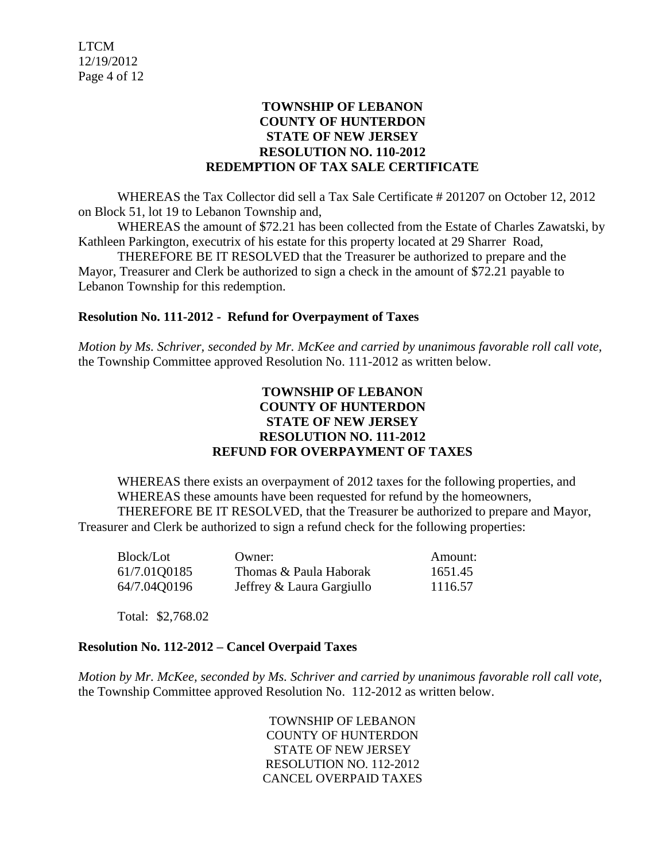### **TOWNSHIP OF LEBANON COUNTY OF HUNTERDON STATE OF NEW JERSEY RESOLUTION NO. 110-2012 REDEMPTION OF TAX SALE CERTIFICATE**

WHEREAS the Tax Collector did sell a Tax Sale Certificate # 201207 on October 12, 2012 on Block 51, lot 19 to Lebanon Township and,

WHEREAS the amount of \$72.21 has been collected from the Estate of Charles Zawatski, by Kathleen Parkington, executrix of his estate for this property located at 29 Sharrer Road,

THEREFORE BE IT RESOLVED that the Treasurer be authorized to prepare and the Mayor, Treasurer and Clerk be authorized to sign a check in the amount of \$72.21 payable to Lebanon Township for this redemption.

### **Resolution No. 111-2012 - Refund for Overpayment of Taxes**

*Motion by Ms. Schriver, seconded by Mr. McKee and carried by unanimous favorable roll call vote,* the Township Committee approved Resolution No. 111-2012 as written below.

### **TOWNSHIP OF LEBANON COUNTY OF HUNTERDON STATE OF NEW JERSEY RESOLUTION NO. 111-2012 REFUND FOR OVERPAYMENT OF TAXES**

WHEREAS there exists an overpayment of 2012 taxes for the following properties, and WHEREAS these amounts have been requested for refund by the homeowners, THEREFORE BE IT RESOLVED, that the Treasurer be authorized to prepare and Mayor, Treasurer and Clerk be authorized to sign a refund check for the following properties:

| Block/Lot    | Owner:                    | Amount: |
|--------------|---------------------------|---------|
| 61/7.01Q0185 | Thomas & Paula Haborak    | 1651.45 |
| 64/7.04Q0196 | Jeffrey & Laura Gargiullo | 1116.57 |

Total: \$2,768.02

## **Resolution No. 112-2012 – Cancel Overpaid Taxes**

*Motion by Mr. McKee, seconded by Ms. Schriver and carried by unanimous favorable roll call vote,* the Township Committee approved Resolution No. 112-2012 as written below.

> TOWNSHIP OF LEBANON COUNTY OF HUNTERDON STATE OF NEW JERSEY RESOLUTION NO. 112-2012 CANCEL OVERPAID TAXES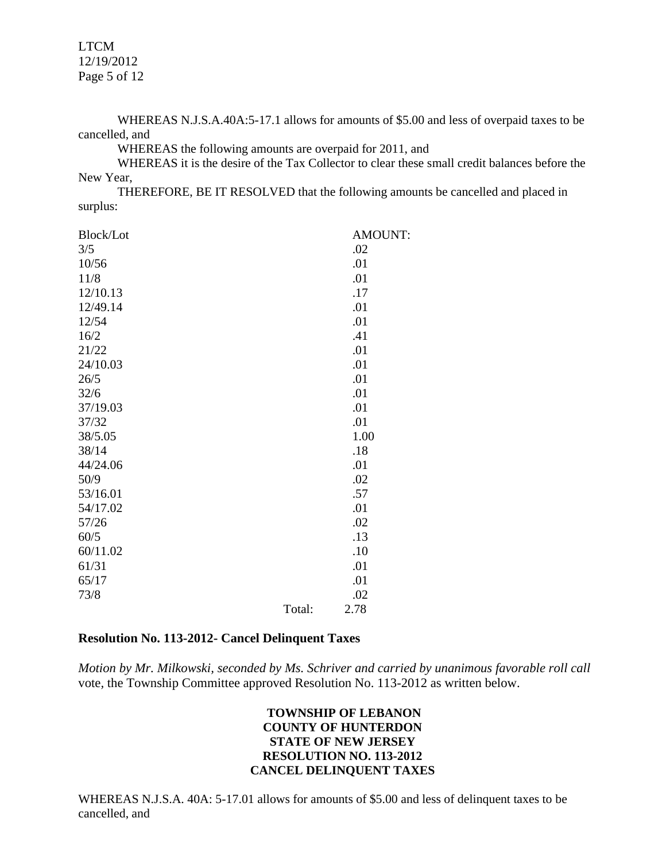LTCM 12/19/2012 Page 5 of 12

WHEREAS N.J.S.A.40A:5-17.1 allows for amounts of \$5.00 and less of overpaid taxes to be cancelled, and

WHEREAS the following amounts are overpaid for 2011, and

WHEREAS it is the desire of the Tax Collector to clear these small credit balances before the New Year,

THEREFORE, BE IT RESOLVED that the following amounts be cancelled and placed in surplus:

| Block/Lot |        | <b>AMOUNT:</b> |
|-----------|--------|----------------|
| 3/5       |        | .02            |
| 10/56     |        | .01            |
| 11/8      |        | .01            |
| 12/10.13  |        | .17            |
| 12/49.14  |        | .01            |
| 12/54     |        | .01            |
| 16/2      |        | .41            |
| 21/22     |        | .01            |
| 24/10.03  |        | .01            |
| 26/5      |        | .01            |
| 32/6      |        | .01            |
| 37/19.03  |        | .01            |
| 37/32     |        | .01            |
| 38/5.05   |        | 1.00           |
| 38/14     |        | .18            |
| 44/24.06  |        | .01            |
| 50/9      |        | .02            |
| 53/16.01  |        | .57            |
| 54/17.02  |        | .01            |
| 57/26     |        | .02            |
| 60/5      |        | .13            |
| 60/11.02  |        | .10            |
| 61/31     |        | .01            |
| 65/17     |        | .01            |
| 73/8      |        | .02            |
|           | Total: | 2.78           |

#### **Resolution No. 113-2012- Cancel Delinquent Taxes**

*Motion by Mr. Milkowski, seconded by Ms. Schriver and carried by unanimous favorable roll call*  vote*,* the Township Committee approved Resolution No. 113-2012 as written below.

### **TOWNSHIP OF LEBANON COUNTY OF HUNTERDON STATE OF NEW JERSEY RESOLUTION NO. 113-2012 CANCEL DELINQUENT TAXES**

WHEREAS N.J.S.A. 40A: 5-17.01 allows for amounts of \$5.00 and less of delinquent taxes to be cancelled, and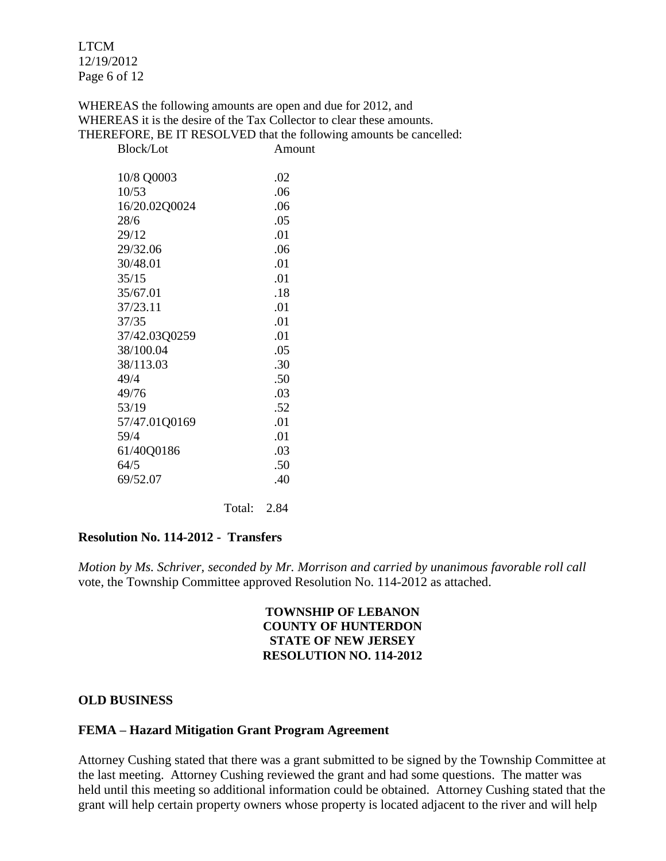LTCM 12/19/2012 Page 6 of 12

WHEREAS the following amounts are open and due for 2012, and WHEREAS it is the desire of the Tax Collector to clear these amounts. THEREFORE, BE IT RESOLVED that the following amounts be cancelled:

| <b>Block/Lot</b> | Amount |
|------------------|--------|
| 10/8 Q0003       | .02    |
| 10/53            | .06    |
| 16/20.02Q0024    | .06    |
| 28/6             | .05    |
| 29/12            | .01    |
| 29/32.06         | .06    |
| 30/48.01         | .01    |
| 35/15            | .01    |
| 35/67.01         | .18    |
| 37/23.11         | .01    |
| 37/35            | .01    |
| 37/42.03Q0259    | .01    |
| 38/100.04        | .05    |
| 38/113.03        | .30    |
| 49/4             | .50    |
| 49/76            | .03    |
| 53/19            | .52    |
| 57/47.01Q0169    | .01    |
| 59/4             | .01    |
| 61/40Q0186       | .03    |
| 64/5             | .50    |
| 69/52.07         | .40    |
|                  |        |

Total: 2.84

#### **Resolution No. 114-2012 - Transfers**

*Motion by Ms. Schriver, seconded by Mr. Morrison and carried by unanimous favorable roll call*  vote*,* the Township Committee approved Resolution No. 114-2012 as attached.

#### **TOWNSHIP OF LEBANON COUNTY OF HUNTERDON STATE OF NEW JERSEY RESOLUTION NO. 114-2012**

#### **OLD BUSINESS**

### **FEMA – Hazard Mitigation Grant Program Agreement**

Attorney Cushing stated that there was a grant submitted to be signed by the Township Committee at the last meeting. Attorney Cushing reviewed the grant and had some questions. The matter was held until this meeting so additional information could be obtained. Attorney Cushing stated that the grant will help certain property owners whose property is located adjacent to the river and will help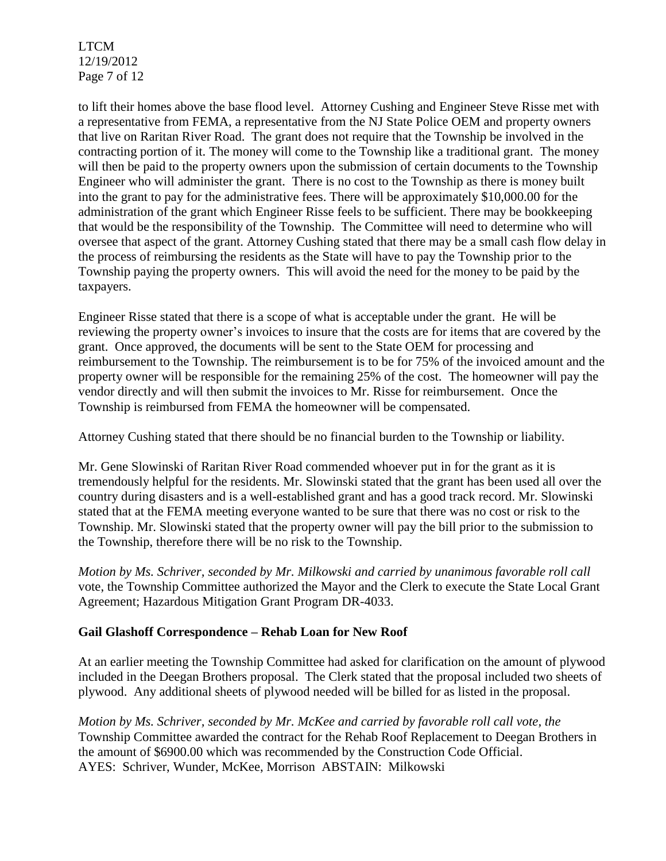LTCM 12/19/2012 Page 7 of 12

to lift their homes above the base flood level. Attorney Cushing and Engineer Steve Risse met with a representative from FEMA, a representative from the NJ State Police OEM and property owners that live on Raritan River Road. The grant does not require that the Township be involved in the contracting portion of it. The money will come to the Township like a traditional grant. The money will then be paid to the property owners upon the submission of certain documents to the Township Engineer who will administer the grant. There is no cost to the Township as there is money built into the grant to pay for the administrative fees. There will be approximately \$10,000.00 for the administration of the grant which Engineer Risse feels to be sufficient. There may be bookkeeping that would be the responsibility of the Township. The Committee will need to determine who will oversee that aspect of the grant. Attorney Cushing stated that there may be a small cash flow delay in the process of reimbursing the residents as the State will have to pay the Township prior to the Township paying the property owners. This will avoid the need for the money to be paid by the taxpayers.

Engineer Risse stated that there is a scope of what is acceptable under the grant. He will be reviewing the property owner's invoices to insure that the costs are for items that are covered by the grant. Once approved, the documents will be sent to the State OEM for processing and reimbursement to the Township. The reimbursement is to be for 75% of the invoiced amount and the property owner will be responsible for the remaining 25% of the cost. The homeowner will pay the vendor directly and will then submit the invoices to Mr. Risse for reimbursement. Once the Township is reimbursed from FEMA the homeowner will be compensated.

Attorney Cushing stated that there should be no financial burden to the Township or liability.

Mr. Gene Slowinski of Raritan River Road commended whoever put in for the grant as it is tremendously helpful for the residents. Mr. Slowinski stated that the grant has been used all over the country during disasters and is a well-established grant and has a good track record. Mr. Slowinski stated that at the FEMA meeting everyone wanted to be sure that there was no cost or risk to the Township. Mr. Slowinski stated that the property owner will pay the bill prior to the submission to the Township, therefore there will be no risk to the Township.

*Motion by Ms. Schriver, seconded by Mr. Milkowski and carried by unanimous favorable roll call*  vote, the Township Committee authorized the Mayor and the Clerk to execute the State Local Grant Agreement; Hazardous Mitigation Grant Program DR-4033.

## **Gail Glashoff Correspondence – Rehab Loan for New Roof**

At an earlier meeting the Township Committee had asked for clarification on the amount of plywood included in the Deegan Brothers proposal. The Clerk stated that the proposal included two sheets of plywood. Any additional sheets of plywood needed will be billed for as listed in the proposal.

*Motion by Ms. Schriver, seconded by Mr. McKee and carried by favorable roll call vote, the* Township Committee awarded the contract for the Rehab Roof Replacement to Deegan Brothers in the amount of \$6900.00 which was recommended by the Construction Code Official. AYES: Schriver, Wunder, McKee, Morrison ABSTAIN: Milkowski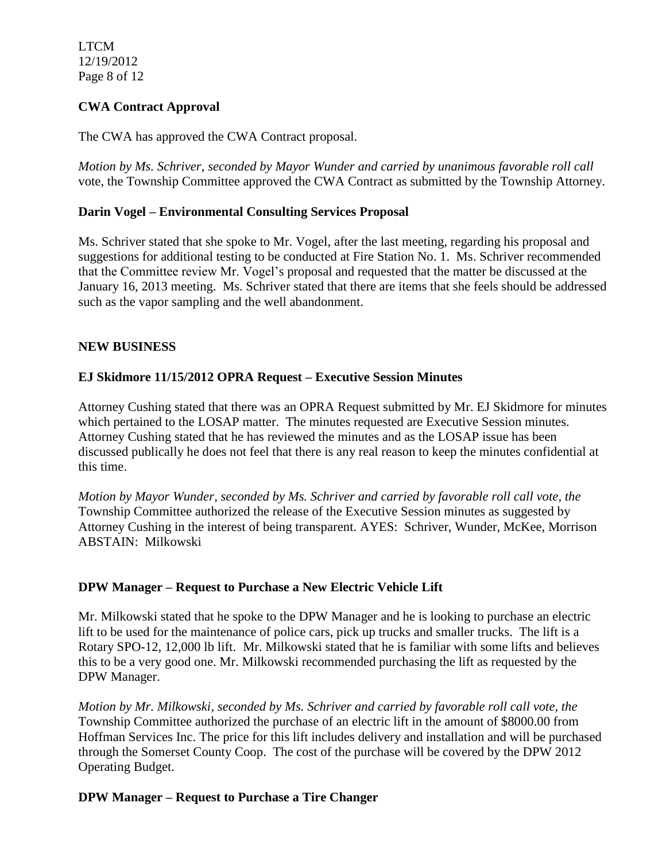LTCM 12/19/2012 Page 8 of 12

## **CWA Contract Approval**

The CWA has approved the CWA Contract proposal.

*Motion by Ms. Schriver, seconded by Mayor Wunder and carried by unanimous favorable roll call*  vote, the Township Committee approved the CWA Contract as submitted by the Township Attorney.

### **Darin Vogel – Environmental Consulting Services Proposal**

Ms. Schriver stated that she spoke to Mr. Vogel, after the last meeting, regarding his proposal and suggestions for additional testing to be conducted at Fire Station No. 1. Ms. Schriver recommended that the Committee review Mr. Vogel's proposal and requested that the matter be discussed at the January 16, 2013 meeting. Ms. Schriver stated that there are items that she feels should be addressed such as the vapor sampling and the well abandonment.

### **NEW BUSINESS**

### **EJ Skidmore 11/15/2012 OPRA Request – Executive Session Minutes**

Attorney Cushing stated that there was an OPRA Request submitted by Mr. EJ Skidmore for minutes which pertained to the LOSAP matter. The minutes requested are Executive Session minutes. Attorney Cushing stated that he has reviewed the minutes and as the LOSAP issue has been discussed publically he does not feel that there is any real reason to keep the minutes confidential at this time.

*Motion by Mayor Wunder, seconded by Ms. Schriver and carried by favorable roll call vote, the* Township Committee authorized the release of the Executive Session minutes as suggested by Attorney Cushing in the interest of being transparent. AYES: Schriver, Wunder, McKee, Morrison ABSTAIN: Milkowski

### **DPW Manager – Request to Purchase a New Electric Vehicle Lift**

Mr. Milkowski stated that he spoke to the DPW Manager and he is looking to purchase an electric lift to be used for the maintenance of police cars, pick up trucks and smaller trucks. The lift is a Rotary SPO-12, 12,000 lb lift. Mr. Milkowski stated that he is familiar with some lifts and believes this to be a very good one. Mr. Milkowski recommended purchasing the lift as requested by the DPW Manager.

*Motion by Mr. Milkowski, seconded by Ms. Schriver and carried by favorable roll call vote, the* Township Committee authorized the purchase of an electric lift in the amount of \$8000.00 from Hoffman Services Inc. The price for this lift includes delivery and installation and will be purchased through the Somerset County Coop. The cost of the purchase will be covered by the DPW 2012 Operating Budget.

### **DPW Manager – Request to Purchase a Tire Changer**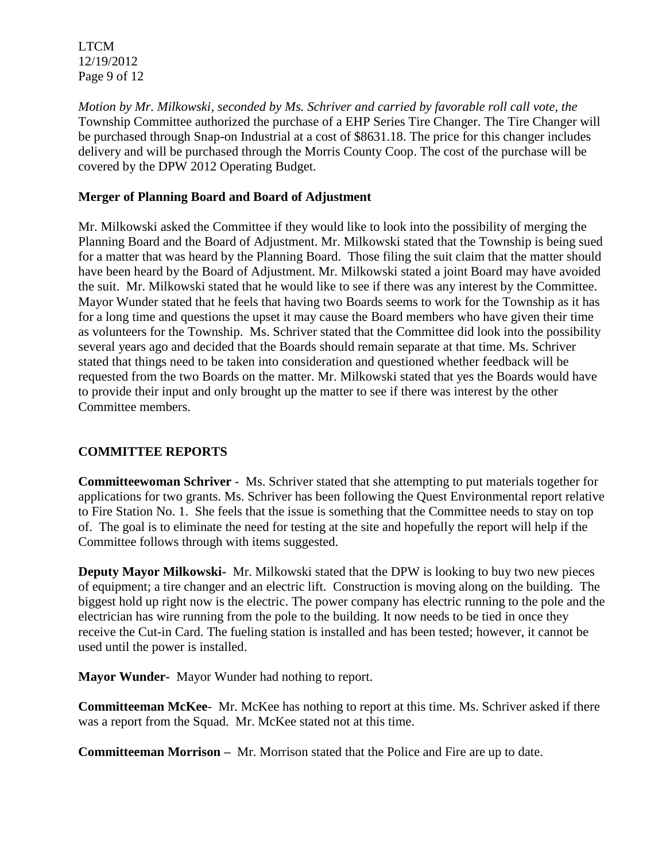LTCM 12/19/2012 Page 9 of 12

*Motion by Mr. Milkowski, seconded by Ms. Schriver and carried by favorable roll call vote, the* Township Committee authorized the purchase of a EHP Series Tire Changer. The Tire Changer will be purchased through Snap-on Industrial at a cost of \$8631.18. The price for this changer includes delivery and will be purchased through the Morris County Coop. The cost of the purchase will be covered by the DPW 2012 Operating Budget.

## **Merger of Planning Board and Board of Adjustment**

Mr. Milkowski asked the Committee if they would like to look into the possibility of merging the Planning Board and the Board of Adjustment. Mr. Milkowski stated that the Township is being sued for a matter that was heard by the Planning Board. Those filing the suit claim that the matter should have been heard by the Board of Adjustment. Mr. Milkowski stated a joint Board may have avoided the suit. Mr. Milkowski stated that he would like to see if there was any interest by the Committee. Mayor Wunder stated that he feels that having two Boards seems to work for the Township as it has for a long time and questions the upset it may cause the Board members who have given their time as volunteers for the Township. Ms. Schriver stated that the Committee did look into the possibility several years ago and decided that the Boards should remain separate at that time. Ms. Schriver stated that things need to be taken into consideration and questioned whether feedback will be requested from the two Boards on the matter. Mr. Milkowski stated that yes the Boards would have to provide their input and only brought up the matter to see if there was interest by the other Committee members.

## **COMMITTEE REPORTS**

**Committeewoman Schriver** - Ms. Schriver stated that she attempting to put materials together for applications for two grants. Ms. Schriver has been following the Quest Environmental report relative to Fire Station No. 1. She feels that the issue is something that the Committee needs to stay on top of. The goal is to eliminate the need for testing at the site and hopefully the report will help if the Committee follows through with items suggested.

**Deputy Mayor Milkowski-** Mr. Milkowski stated that the DPW is looking to buy two new pieces of equipment; a tire changer and an electric lift. Construction is moving along on the building. The biggest hold up right now is the electric. The power company has electric running to the pole and the electrician has wire running from the pole to the building. It now needs to be tied in once they receive the Cut-in Card. The fueling station is installed and has been tested; however, it cannot be used until the power is installed.

**Mayor Wunder-** Mayor Wunder had nothing to report.

**Committeeman McKee**- Mr. McKee has nothing to report at this time. Ms. Schriver asked if there was a report from the Squad. Mr. McKee stated not at this time.

**Committeeman Morrison –** Mr. Morrison stated that the Police and Fire are up to date.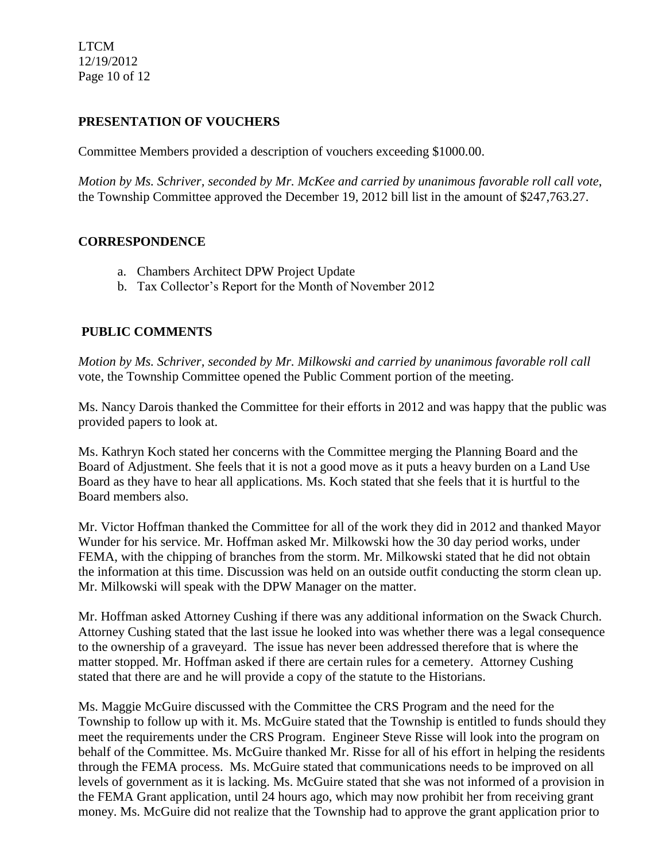LTCM 12/19/2012 Page 10 of 12

## **PRESENTATION OF VOUCHERS**

Committee Members provided a description of vouchers exceeding \$1000.00.

*Motion by Ms. Schriver, seconded by Mr. McKee and carried by unanimous favorable roll call vote*, the Township Committee approved the December 19, 2012 bill list in the amount of \$247,763.27.

### **CORRESPONDENCE**

- a. Chambers Architect DPW Project Update
- b. Tax Collector's Report for the Month of November 2012

# **PUBLIC COMMENTS**

*Motion by Ms. Schriver, seconded by Mr. Milkowski and carried by unanimous favorable roll call*  vote, the Township Committee opened the Public Comment portion of the meeting.

Ms. Nancy Darois thanked the Committee for their efforts in 2012 and was happy that the public was provided papers to look at.

Ms. Kathryn Koch stated her concerns with the Committee merging the Planning Board and the Board of Adjustment. She feels that it is not a good move as it puts a heavy burden on a Land Use Board as they have to hear all applications. Ms. Koch stated that she feels that it is hurtful to the Board members also.

Mr. Victor Hoffman thanked the Committee for all of the work they did in 2012 and thanked Mayor Wunder for his service. Mr. Hoffman asked Mr. Milkowski how the 30 day period works, under FEMA, with the chipping of branches from the storm. Mr. Milkowski stated that he did not obtain the information at this time. Discussion was held on an outside outfit conducting the storm clean up. Mr. Milkowski will speak with the DPW Manager on the matter.

Mr. Hoffman asked Attorney Cushing if there was any additional information on the Swack Church. Attorney Cushing stated that the last issue he looked into was whether there was a legal consequence to the ownership of a graveyard. The issue has never been addressed therefore that is where the matter stopped. Mr. Hoffman asked if there are certain rules for a cemetery. Attorney Cushing stated that there are and he will provide a copy of the statute to the Historians.

Ms. Maggie McGuire discussed with the Committee the CRS Program and the need for the Township to follow up with it. Ms. McGuire stated that the Township is entitled to funds should they meet the requirements under the CRS Program. Engineer Steve Risse will look into the program on behalf of the Committee. Ms. McGuire thanked Mr. Risse for all of his effort in helping the residents through the FEMA process. Ms. McGuire stated that communications needs to be improved on all levels of government as it is lacking. Ms. McGuire stated that she was not informed of a provision in the FEMA Grant application, until 24 hours ago, which may now prohibit her from receiving grant money. Ms. McGuire did not realize that the Township had to approve the grant application prior to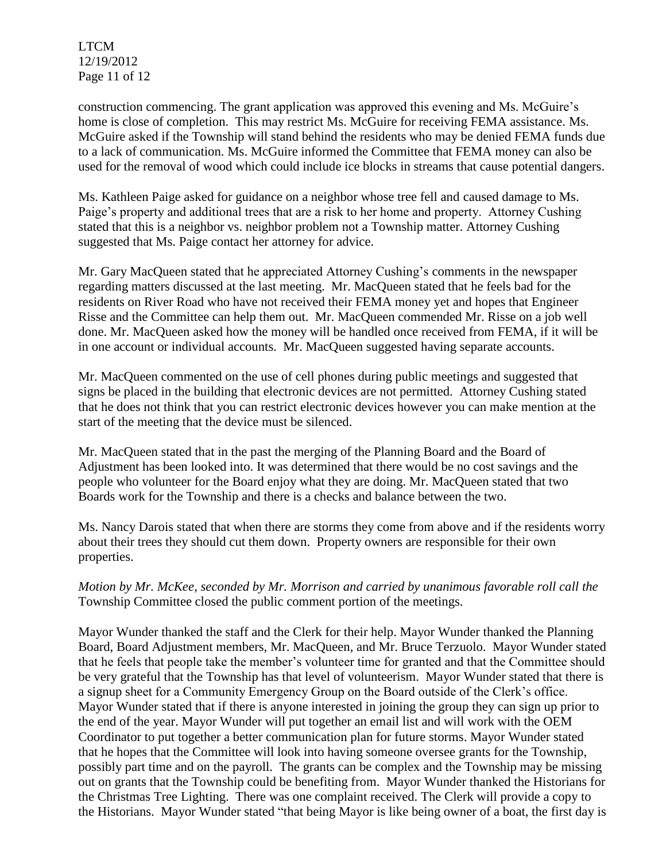LTCM 12/19/2012 Page 11 of 12

construction commencing. The grant application was approved this evening and Ms. McGuire's home is close of completion. This may restrict Ms. McGuire for receiving FEMA assistance. Ms. McGuire asked if the Township will stand behind the residents who may be denied FEMA funds due to a lack of communication. Ms. McGuire informed the Committee that FEMA money can also be used for the removal of wood which could include ice blocks in streams that cause potential dangers.

Ms. Kathleen Paige asked for guidance on a neighbor whose tree fell and caused damage to Ms. Paige's property and additional trees that are a risk to her home and property. Attorney Cushing stated that this is a neighbor vs. neighbor problem not a Township matter. Attorney Cushing suggested that Ms. Paige contact her attorney for advice.

Mr. Gary MacQueen stated that he appreciated Attorney Cushing's comments in the newspaper regarding matters discussed at the last meeting. Mr. MacQueen stated that he feels bad for the residents on River Road who have not received their FEMA money yet and hopes that Engineer Risse and the Committee can help them out. Mr. MacQueen commended Mr. Risse on a job well done. Mr. MacQueen asked how the money will be handled once received from FEMA, if it will be in one account or individual accounts. Mr. MacQueen suggested having separate accounts.

Mr. MacQueen commented on the use of cell phones during public meetings and suggested that signs be placed in the building that electronic devices are not permitted. Attorney Cushing stated that he does not think that you can restrict electronic devices however you can make mention at the start of the meeting that the device must be silenced.

Mr. MacQueen stated that in the past the merging of the Planning Board and the Board of Adjustment has been looked into. It was determined that there would be no cost savings and the people who volunteer for the Board enjoy what they are doing. Mr. MacQueen stated that two Boards work for the Township and there is a checks and balance between the two.

Ms. Nancy Darois stated that when there are storms they come from above and if the residents worry about their trees they should cut them down. Property owners are responsible for their own properties.

*Motion by Mr. McKee, seconded by Mr. Morrison and carried by unanimous favorable roll call the* Township Committee closed the public comment portion of the meetings.

Mayor Wunder thanked the staff and the Clerk for their help. Mayor Wunder thanked the Planning Board, Board Adjustment members, Mr. MacQueen, and Mr. Bruce Terzuolo.Mayor Wunder stated that he feels that people take the member's volunteer time for granted and that the Committee should be very grateful that the Township has that level of volunteerism. Mayor Wunder stated that there is a signup sheet for a Community Emergency Group on the Board outside of the Clerk's office. Mayor Wunder stated that if there is anyone interested in joining the group they can sign up prior to the end of the year. Mayor Wunder will put together an email list and will work with the OEM Coordinator to put together a better communication plan for future storms. Mayor Wunder stated that he hopes that the Committee will look into having someone oversee grants for the Township, possibly part time and on the payroll. The grants can be complex and the Township may be missing out on grants that the Township could be benefiting from. Mayor Wunder thanked the Historians for the Christmas Tree Lighting. There was one complaint received. The Clerk will provide a copy to the Historians. Mayor Wunder stated "that being Mayor is like being owner of a boat, the first day is